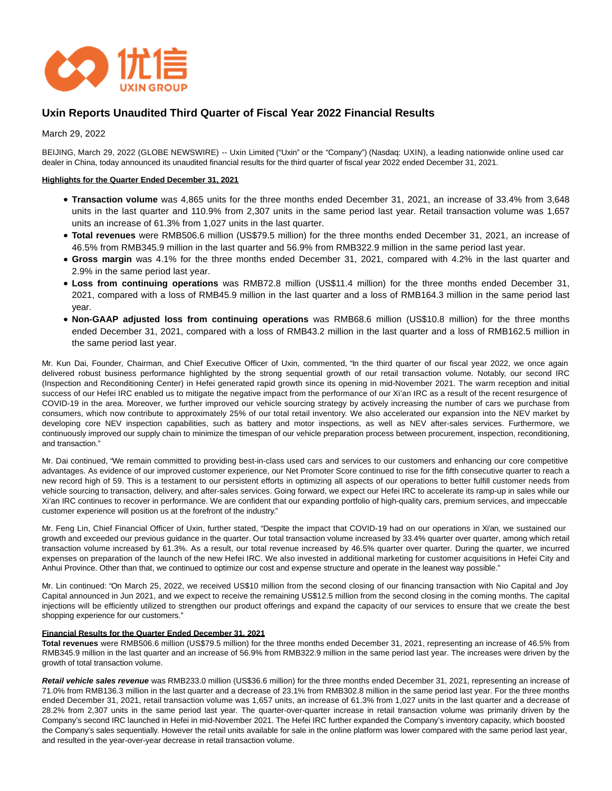

# **Uxin Reports Unaudited Third Quarter of Fiscal Year 2022 Financial Results**

March 29, 2022

BEIJING, March 29, 2022 (GLOBE NEWSWIRE) -- Uxin Limited ("Uxin" or the "Company") (Nasdaq: UXIN), a leading nationwide online used car dealer in China, today announced its unaudited financial results for the third quarter of fiscal year 2022 ended December 31, 2021.

### **Highlights for the Quarter Ended December 31, 2021**

- **Transaction volume** was 4,865 units for the three months ended December 31, 2021, an increase of 33.4% from 3,648 units in the last quarter and 110.9% from 2,307 units in the same period last year. Retail transaction volume was 1,657 units an increase of 61.3% from 1,027 units in the last quarter.
- **Total revenues** were RMB506.6 million (US\$79.5 million) for the three months ended December 31, 2021, an increase of 46.5% from RMB345.9 million in the last quarter and 56.9% from RMB322.9 million in the same period last year.
- **Gross margin** was 4.1% for the three months ended December 31, 2021, compared with 4.2% in the last quarter and 2.9% in the same period last year.
- **Loss from continuing operations** was RMB72.8 million (US\$11.4 million) for the three months ended December 31, 2021, compared with a loss of RMB45.9 million in the last quarter and a loss of RMB164.3 million in the same period last year.
- **Non-GAAP adjusted loss from continuing operations** was RMB68.6 million (US\$10.8 million) for the three months ended December 31, 2021, compared with a loss of RMB43.2 million in the last quarter and a loss of RMB162.5 million in the same period last year.

Mr. Kun Dai, Founder, Chairman, and Chief Executive Officer of Uxin, commented, "In the third quarter of our fiscal year 2022, we once again delivered robust business performance highlighted by the strong sequential growth of our retail transaction volume. Notably, our second IRC (Inspection and Reconditioning Center) in Hefei generated rapid growth since its opening in mid-November 2021. The warm reception and initial success of our Hefei IRC enabled us to mitigate the negative impact from the performance of our Xi'an IRC as a result of the recent resurgence of COVID-19 in the area. Moreover, we further improved our vehicle sourcing strategy by actively increasing the number of cars we purchase from consumers, which now contribute to approximately 25% of our total retail inventory. We also accelerated our expansion into the NEV market by developing core NEV inspection capabilities, such as battery and motor inspections, as well as NEV after-sales services. Furthermore, we continuously improved our supply chain to minimize the timespan of our vehicle preparation process between procurement, inspection, reconditioning, and transaction."

Mr. Dai continued, "We remain committed to providing best-in-class used cars and services to our customers and enhancing our core competitive advantages. As evidence of our improved customer experience, our Net Promoter Score continued to rise for the fifth consecutive quarter to reach a new record high of 59. This is a testament to our persistent efforts in optimizing all aspects of our operations to better fulfill customer needs from vehicle sourcing to transaction, delivery, and after-sales services. Going forward, we expect our Hefei IRC to accelerate its ramp-up in sales while our Xi'an IRC continues to recover in performance. We are confident that our expanding portfolio of high-quality cars, premium services, and impeccable customer experience will position us at the forefront of the industry."

Mr. Feng Lin, Chief Financial Officer of Uxin, further stated, "Despite the impact that COVID-19 had on our operations in Xi'an, we sustained our growth and exceeded our previous guidance in the quarter. Our total transaction volume increased by 33.4% quarter over quarter, among which retail transaction volume increased by 61.3%. As a result, our total revenue increased by 46.5% quarter over quarter. During the quarter, we incurred expenses on preparation of the launch of the new Hefei IRC. We also invested in additional marketing for customer acquisitions in Hefei City and Anhui Province. Other than that, we continued to optimize our cost and expense structure and operate in the leanest way possible."

Mr. Lin continued: "On March 25, 2022, we received US\$10 million from the second closing of our financing transaction with Nio Capital and Joy Capital announced in Jun 2021, and we expect to receive the remaining US\$12.5 million from the second closing in the coming months. The capital injections will be efficiently utilized to strengthen our product offerings and expand the capacity of our services to ensure that we create the best shopping experience for our customers."

### **Financial Results for the Quarter Ended December 31, 2021**

**Total revenues** were RMB506.6 million (US\$79.5 million) for the three months ended December 31, 2021, representing an increase of 46.5% from RMB345.9 million in the last quarter and an increase of 56.9% from RMB322.9 million in the same period last year. The increases were driven by the growth of total transaction volume.

**Retail vehicle sales revenue** was RMB233.0 million (US\$36.6 million) for the three months ended December 31, 2021, representing an increase of 71.0% from RMB136.3 million in the last quarter and a decrease of 23.1% from RMB302.8 million in the same period last year. For the three months ended December 31, 2021, retail transaction volume was 1,657 units, an increase of 61.3% from 1,027 units in the last quarter and a decrease of 28.2% from 2,307 units in the same period last year. The quarter-over-quarter increase in retail transaction volume was primarily driven by the Company's second IRC launched in Hefei in mid-November 2021. The Hefei IRC further expanded the Company's inventory capacity, which boosted the Company's sales sequentially. However the retail units available for sale in the online platform was lower compared with the same period last year, and resulted in the year-over-year decrease in retail transaction volume.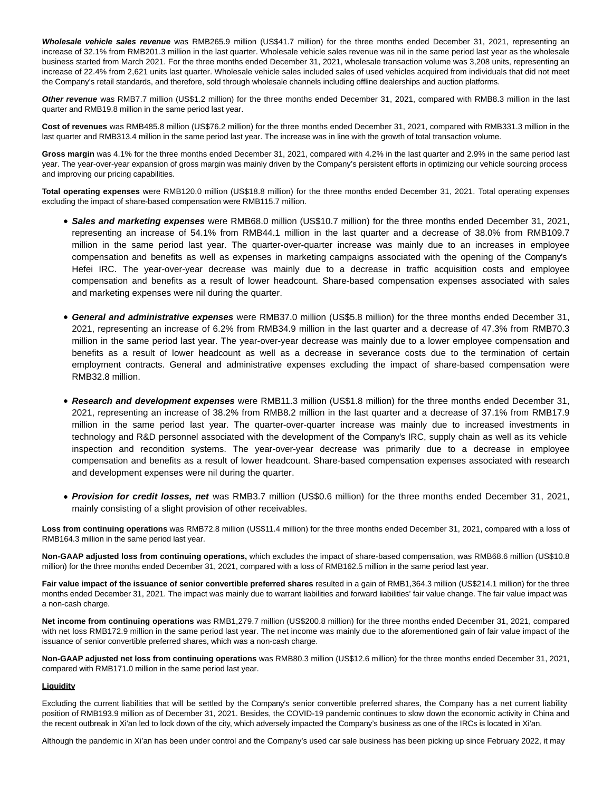**Wholesale vehicle sales revenue** was RMB265.9 million (US\$41.7 million) for the three months ended December 31, 2021, representing an increase of 32.1% from RMB201.3 million in the last quarter. Wholesale vehicle sales revenue was nil in the same period last year as the wholesale business started from March 2021. For the three months ended December 31, 2021, wholesale transaction volume was 3,208 units, representing an increase of 22.4% from 2,621 units last quarter. Wholesale vehicle sales included sales of used vehicles acquired from individuals that did not meet the Company's retail standards, and therefore, sold through wholesale channels including offline dealerships and auction platforms.

**Other revenue** was RMB7.7 million (US\$1.2 million) for the three months ended December 31, 2021, compared with RMB8.3 million in the last quarter and RMB19.8 million in the same period last year.

**Cost of revenues** was RMB485.8 million (US\$76.2 million) for the three months ended December 31, 2021, compared with RMB331.3 million in the last quarter and RMB313.4 million in the same period last year. The increase was in line with the growth of total transaction volume.

**Gross margin** was 4.1% for the three months ended December 31, 2021, compared with 4.2% in the last quarter and 2.9% in the same period last year. The year-over-year expansion of gross margin was mainly driven by the Company's persistent efforts in optimizing our vehicle sourcing process and improving our pricing capabilities.

**Total operating expenses** were RMB120.0 million (US\$18.8 million) for the three months ended December 31, 2021. Total operating expenses excluding the impact of share-based compensation were RMB115.7 million.

- **Sales and marketing expenses** were RMB68.0 million (US\$10.7 million) for the three months ended December 31, 2021, representing an increase of 54.1% from RMB44.1 million in the last quarter and a decrease of 38.0% from RMB109.7 million in the same period last year. The quarter-over-quarter increase was mainly due to an increases in employee compensation and benefits as well as expenses in marketing campaigns associated with the opening of the Company's Hefei IRC. The year-over-year decrease was mainly due to a decrease in traffic acquisition costs and employee compensation and benefits as a result of lower headcount. Share-based compensation expenses associated with sales and marketing expenses were nil during the quarter.
- **General and administrative expenses** were RMB37.0 million (US\$5.8 million) for the three months ended December 31, 2021, representing an increase of 6.2% from RMB34.9 million in the last quarter and a decrease of 47.3% from RMB70.3 million in the same period last year. The year-over-year decrease was mainly due to a lower employee compensation and benefits as a result of lower headcount as well as a decrease in severance costs due to the termination of certain employment contracts. General and administrative expenses excluding the impact of share-based compensation were RMB32.8 million.
- **Research and development expenses** were RMB11.3 million (US\$1.8 million) for the three months ended December 31, 2021, representing an increase of 38.2% from RMB8.2 million in the last quarter and a decrease of 37.1% from RMB17.9 million in the same period last year. The quarter-over-quarter increase was mainly due to increased investments in technology and R&D personnel associated with the development of the Company's IRC, supply chain as well as its vehicle inspection and recondition systems. The year-over-year decrease was primarily due to a decrease in employee compensation and benefits as a result of lower headcount. Share-based compensation expenses associated with research and development expenses were nil during the quarter.
- **Provision for credit losses, net** was RMB3.7 million (US\$0.6 million) for the three months ended December 31, 2021, mainly consisting of a slight provision of other receivables.

**Loss from continuing operations** was RMB72.8 million (US\$11.4 million) for the three months ended December 31, 2021, compared with a loss of RMB164.3 million in the same period last year.

**Non-GAAP adjusted loss from continuing operations,** which excludes the impact of share-based compensation, was RMB68.6 million (US\$10.8 million) for the three months ended December 31, 2021, compared with a loss of RMB162.5 million in the same period last year.

**Fair value impact of the issuance of senior convertible preferred shares** resulted in a gain of RMB1,364.3 million (US\$214.1 million) for the three months ended December 31, 2021. The impact was mainly due to warrant liabilities and forward liabilities' fair value change. The fair value impact was a non-cash charge.

**Net income from continuing operations** was RMB1,279.7 million (US\$200.8 million) for the three months ended December 31, 2021, compared with net loss RMB172.9 million in the same period last year. The net income was mainly due to the aforementioned gain of fair value impact of the issuance of senior convertible preferred shares, which was a non-cash charge.

**Non-GAAP adjusted net loss from continuing operations** was RMB80.3 million (US\$12.6 million) for the three months ended December 31, 2021, compared with RMB171.0 million in the same period last year.

### **Liquidity**

Excluding the current liabilities that will be settled by the Company's senior convertible preferred shares, the Company has a net current liability position of RMB193.9 million as of December 31, 2021. Besides, the COVID-19 pandemic continues to slow down the economic activity in China and the recent outbreak in Xi'an led to lock down of the city, which adversely impacted the Company's business as one of the IRCs is located in Xi'an.

Although the pandemic in Xi'an has been under control and the Company's used car sale business has been picking up since February 2022, it may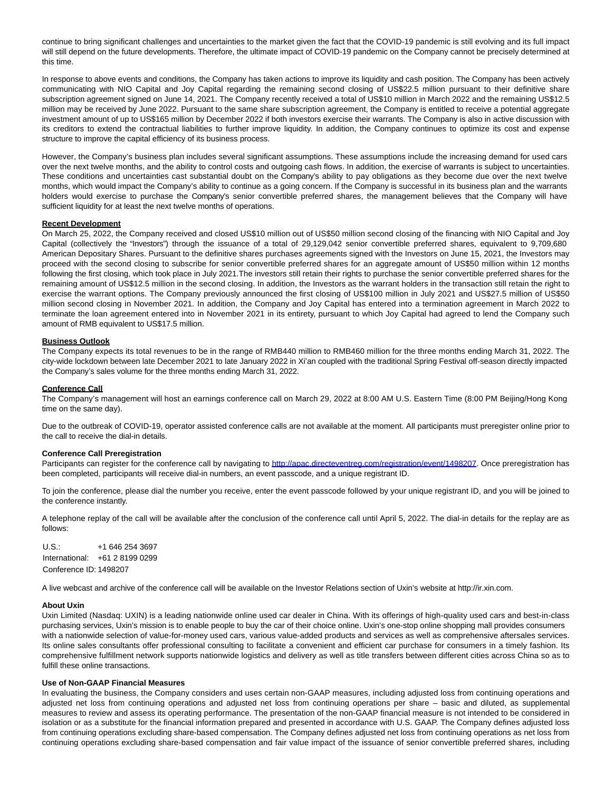continue to bring significant challenges and uncertainties to the market given the fact that the COVID-19 pandemic is still evolving and its full impact will still depend on the future developments. Therefore, the ultimate impact of COVID-19 pandemic on the Company cannot be precisely determined at this time.

In response to above events and conditions, the Company has taken actions to improve its liquidity and cash position. The Company has been actively communicating with NIO Capital and Joy Capital regarding the remaining second closing of US\$22.5 million pursuant to their definitive share subscription agreement signed on June 14, 2021. The Company recently received a total of US\$10 million in March 2022 and the remaining US\$12.5 million may be received by June 2022. Pursuant to the same share subscription agreement, the Company is entitled to receive a potential aggregate investment amount of up to US\$165 million by December 2022 if both investors exercise their warrants. The Company is also in active discussion with its creditors to extend the contractual liabilities to further improve liquidity. In addition, the Company continues to optimize its cost and expense structure to improve the capital efficiency of its business process.

However, the Company's business plan includes several significant assumptions. These assumptions include the increasing demand for used cars over the next twelve months, and the ability to control costs and outgoing cash flows. In addition, the exercise of warrants is subject to uncertainties. These conditions and uncertainties cast substantial doubt on the Company's ability to pay obligations as they become due over the next twelve months, which would impact the Company's ability to continue as a going concern. If the Company is successful in its business plan and the warrants holders would exercise to purchase the Company's senior convertible preferred shares, the management believes that the Company will have sufficient liquidity for at least the next twelve months of operations.

#### **Recent Development**

On March 25, 2022, the Company received and closed US\$10 million out of US\$50 million second closing of the financing with NIO Capital and Joy Capital (collectively the "Investors") through the issuance of a total of 29,129,042 senior convertible preferred shares, equivalent to 9,709,680 American Depositary Shares. Pursuant to the definitive shares purchases agreements signed with the Investors on June 15, 2021, the Investors may proceed with the second closing to subscribe for senior convertible preferred shares for an aggregate amount of US\$50 million within 12 months following the first closing, which took place in July 2021.The investors still retain their rights to purchase the senior convertible preferred shares for the remaining amount of US\$12.5 million in the second closing. In addition, the Investors as the warrant holders in the transaction still retain the right to exercise the warrant options. The Company previously announced the first closing of US\$100 million in July 2021 and US\$27.5 million of US\$50 million second closing in November 2021. In addition, the Company and Joy Capital has entered into a termination agreement in March 2022 to terminate the loan agreement entered into in November 2021 in its entirety, pursuant to which Joy Capital had agreed to lend the Company such amount of RMB equivalent to US\$17.5 million.

### **Business Outlook**

The Company expects its total revenues to be in the range of RMB440 million to RMB460 million for the three months ending March 31, 2022. The city-wide lockdown between late December 2021 to late January 2022 in Xi'an coupled with the traditional Spring Festival off-season directly impacted the Company's sales volume for the three months ending March 31, 2022.

### **Conference Call**

The Company's management will host an earnings conference call on March 29, 2022 at 8:00 AM U.S. Eastern Time (8:00 PM Beijing/Hong Kong time on the same day).

Due to the outbreak of COVID-19, operator assisted conference calls are not available at the moment. All participants must preregister online prior to the call to receive the dial-in details.

#### **Conference Call Preregistration**

Participants can register for the conference call by navigating to [http://apac.directeventreg.com/registration/event/1498207.](https://www.globenewswire.com/Tracker?data=ZXbpH64y-bgTxWwfbWQgYjEVk7dOAPpr6hAThT-fpv6F9SFfKUNABp-faiAido2m8T1jpyNxS7Gx9y5K0BEc8Z5SLXe5IHuWf58XDGiYN3h1cCKGG2rJYixUZVA19TVHTqXgz9-Y5IMRmKSyvPUh4vyxh3L4sPFV6wbAoRlROvxcK38KQ-skoiBrpMUoipn0UO49m30aWqVyW1_uupN7Zu3lfayJyAzBMcn8nrLbzIbFYthjUge97-QosG5bVTUQX7IuQkDsi9xYl8_YOEDIf3y9DGBJF3QixDG7QHCClZI9DLhLbfUyRNgt17DUDW-vl7B0YcAU6r0fmB2gsDknOTk7x5VeJMWY3LhTRuIN11tO_PPQU7LsL_QDkYZi8cab1z8BHr4jmve_8x8syt2zkPPXWD8cfihz9gIMCWi9xTo=) Once preregistration has been completed, participants will receive dial-in numbers, an event passcode, and a unique registrant ID.

To join the conference, please dial the number you receive, enter the event passcode followed by your unique registrant ID, and you will be joined to the conference instantly.

A telephone replay of the call will be available after the conclusion of the conference call until April 5, 2022. The dial-in details for the replay are as follows:

 $U.S.: +16462543697$ International: +61 2 8199 0299 Conference ID: 1498207

A live webcast and archive of the conference call will be available on the Investor Relations section of Uxin's website at http://ir.xin.com.

#### **About Uxin**

Uxin Limited (Nasdaq: UXIN) is a leading nationwide online used car dealer in China. With its offerings of high-quality used cars and best-in-class purchasing services, Uxin's mission is to enable people to buy the car of their choice online. Uxin's one-stop online shopping mall provides consumers with a nationwide selection of value-for-money used cars, various value-added products and services as well as comprehensive aftersales services. Its online sales consultants offer professional consulting to facilitate a convenient and efficient car purchase for consumers in a timely fashion. Its comprehensive fulfillment network supports nationwide logistics and delivery as well as title transfers between different cities across China so as to fulfill these online transactions.

#### **Use of Non-GAAP Financial Measures**

In evaluating the business, the Company considers and uses certain non-GAAP measures, including adjusted loss from continuing operations and adjusted net loss from continuing operations and adjusted net loss from continuing operations per share – basic and diluted, as supplemental measures to review and assess its operating performance. The presentation of the non-GAAP financial measure is not intended to be considered in isolation or as a substitute for the financial information prepared and presented in accordance with U.S. GAAP. The Company defines adjusted loss from continuing operations excluding share-based compensation. The Company defines adjusted net loss from continuing operations as net loss from continuing operations excluding share-based compensation and fair value impact of the issuance of senior convertible preferred shares, including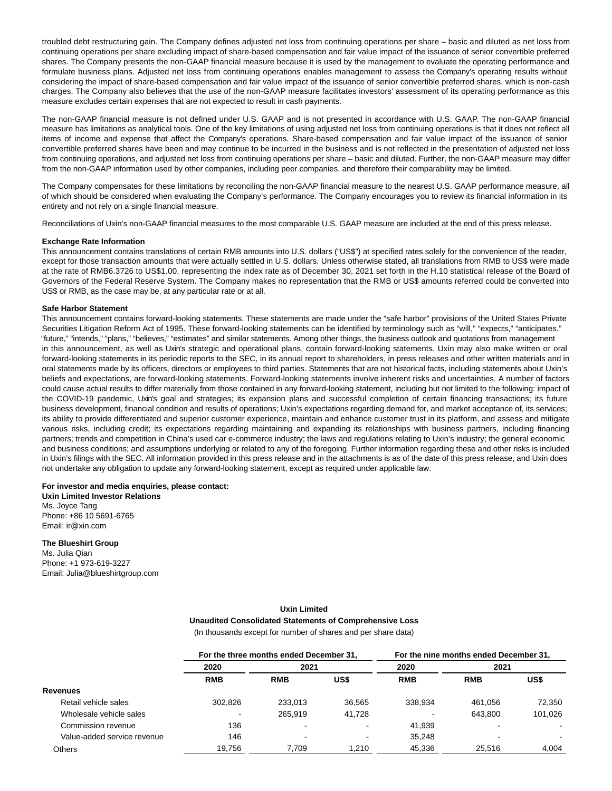troubled debt restructuring gain. The Company defines adjusted net loss from continuing operations per share – basic and diluted as net loss from continuing operations per share excluding impact of share-based compensation and fair value impact of the issuance of senior convertible preferred shares. The Company presents the non-GAAP financial measure because it is used by the management to evaluate the operating performance and formulate business plans. Adjusted net loss from continuing operations enables management to assess the Company's operating results without considering the impact of share-based compensation and fair value impact of the issuance of senior convertible preferred shares, which is non-cash charges. The Company also believes that the use of the non-GAAP measure facilitates investors' assessment of its operating performance as this measure excludes certain expenses that are not expected to result in cash payments.

The non-GAAP financial measure is not defined under U.S. GAAP and is not presented in accordance with U.S. GAAP. The non-GAAP financial measure has limitations as analytical tools. One of the key limitations of using adjusted net loss from continuing operations is that it does not reflect all items of income and expense that affect the Company's operations. Share-based compensation and fair value impact of the issuance of senior convertible preferred shares have been and may continue to be incurred in the business and is not reflected in the presentation of adjusted net loss from continuing operations, and adjusted net loss from continuing operations per share – basic and diluted. Further, the non-GAAP measure may differ from the non-GAAP information used by other companies, including peer companies, and therefore their comparability may be limited.

The Company compensates for these limitations by reconciling the non-GAAP financial measure to the nearest U.S. GAAP performance measure, all of which should be considered when evaluating the Company's performance. The Company encourages you to review its financial information in its entirety and not rely on a single financial measure.

Reconciliations of Uxin's non-GAAP financial measures to the most comparable U.S. GAAP measure are included at the end of this press release.

### **Exchange Rate Information**

This announcement contains translations of certain RMB amounts into U.S. dollars ("US\$") at specified rates solely for the convenience of the reader, except for those transaction amounts that were actually settled in U.S. dollars. Unless otherwise stated, all translations from RMB to US\$ were made at the rate of RMB6.3726 to US\$1.00, representing the index rate as of December 30, 2021 set forth in the H.10 statistical release of the Board of Governors of the Federal Reserve System. The Company makes no representation that the RMB or US\$ amounts referred could be converted into US\$ or RMB, as the case may be, at any particular rate or at all.

### **Safe Harbor Statement**

This announcement contains forward-looking statements. These statements are made under the "safe harbor" provisions of the United States Private Securities Litigation Reform Act of 1995. These forward-looking statements can be identified by terminology such as "will," "expects," "anticipates," "future," "intends," "plans," "believes," "estimates" and similar statements. Among other things, the business outlook and quotations from management in this announcement, as well as Uxin's strategic and operational plans, contain forward-looking statements. Uxin may also make written or oral forward-looking statements in its periodic reports to the SEC, in its annual report to shareholders, in press releases and other written materials and in oral statements made by its officers, directors or employees to third parties. Statements that are not historical facts, including statements about Uxin's beliefs and expectations, are forward-looking statements. Forward-looking statements involve inherent risks and uncertainties. A number of factors could cause actual results to differ materially from those contained in any forward-looking statement, including but not limited to the following: impact of the COVID-19 pandemic, Uxin's goal and strategies; its expansion plans and successful completion of certain financing transactions; its future business development, financial condition and results of operations; Uxin's expectations regarding demand for, and market acceptance of, its services; its ability to provide differentiated and superior customer experience, maintain and enhance customer trust in its platform, and assess and mitigate various risks, including credit; its expectations regarding maintaining and expanding its relationships with business partners, including financing partners; trends and competition in China's used car e-commerce industry; the laws and regulations relating to Uxin's industry; the general economic and business conditions; and assumptions underlying or related to any of the foregoing. Further information regarding these and other risks is included in Uxin's filings with the SEC. All information provided in this press release and in the attachments is as of the date of this press release, and Uxin does not undertake any obligation to update any forward-looking statement, except as required under applicable law.

#### **For investor and media enquiries, please contact: Uxin Limited Investor Relations**

Ms. Joyce Tang Phone: +86 10 5691-6765 Email: ir@xin.com

### **The Blueshirt Group**

Ms. Julia Qian Phone: +1 973-619-3227 Email: Julia@blueshirtgroup.com

# **Uxin Limited**

# **Unaudited Consolidated Statements of Comprehensive Loss**

(In thousands except for number of shares and per share data)

|                             | For the three months ended December 31, |            |        | For the nine months ended December 31, |            |         |
|-----------------------------|-----------------------------------------|------------|--------|----------------------------------------|------------|---------|
|                             | 2020                                    | 2021       |        | 2020                                   | 2021       |         |
|                             | <b>RMB</b>                              | <b>RMB</b> | US\$   | <b>RMB</b>                             | <b>RMB</b> | US\$    |
| Revenues                    |                                         |            |        |                                        |            |         |
| Retail vehicle sales        | 302.826                                 | 233.013    | 36.565 | 338.934                                | 461.056    | 72.350  |
| Wholesale vehicle sales     |                                         | 265.919    | 41,728 |                                        | 643.800    | 101.026 |
| Commission revenue          | 136                                     | -          | $\,$   | 41.939                                 |            | ۰       |
| Value-added service revenue | 146                                     | -          | ٠      | 35.248                                 |            |         |
| <b>Others</b>               | 19,756                                  | 7.709      | 1.210  | 45,336                                 | 25.516     | 4,004   |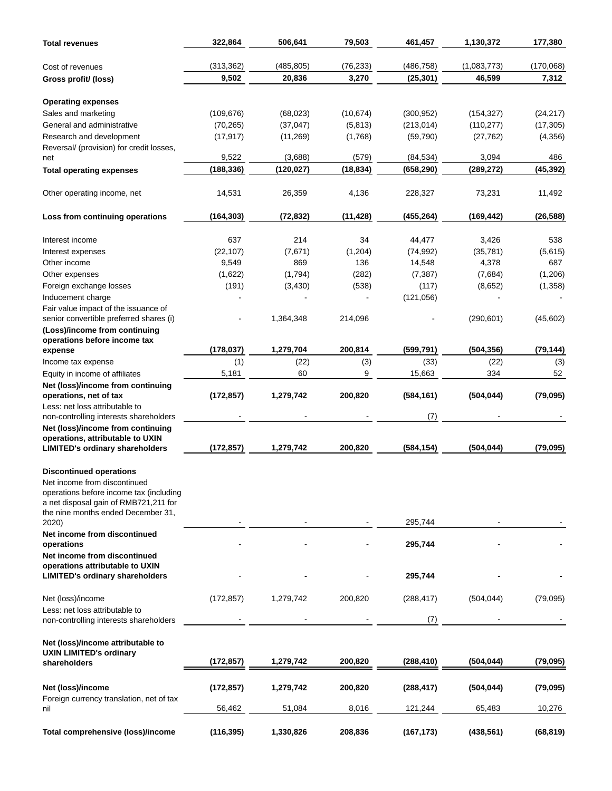| <b>Total revenues</b>                                                           | 322,864    | 506,641    | 79,503    | 461,457    | 1,130,372   | 177,380   |
|---------------------------------------------------------------------------------|------------|------------|-----------|------------|-------------|-----------|
| Cost of revenues                                                                | (313, 362) | (485,805)  | (76, 233) | (486, 758) | (1,083,773) | (170,068) |
| Gross profit/ (loss)                                                            | 9,502      | 20,836     | 3,270     | (25, 301)  | 46,599      | 7,312     |
|                                                                                 |            |            |           |            |             |           |
| <b>Operating expenses</b>                                                       |            |            |           |            |             |           |
| Sales and marketing                                                             | (109, 676) | (68, 023)  | (10, 674) | (300, 952) | (154, 327)  | (24, 217) |
| General and administrative                                                      | (70, 265)  | (37, 047)  | (5, 813)  | (213, 014) | (110, 277)  | (17, 305) |
| Research and development                                                        | (17, 917)  | (11,269)   | (1,768)   | (59,790)   | (27, 762)   | (4,356)   |
| Reversal/ (provision) for credit losses,                                        | 9,522      | (3,688)    | (579)     | (84, 534)  | 3,094       | 486       |
| net                                                                             | (188, 336) | (120, 027) | (18, 834) | (658, 290) | (289, 272)  | (45, 392) |
| <b>Total operating expenses</b>                                                 |            |            |           |            |             |           |
| Other operating income, net                                                     | 14,531     | 26,359     | 4,136     | 228,327    | 73,231      | 11,492    |
| Loss from continuing operations                                                 | (164, 303) | (72, 832)  | (11, 428) | (455, 264) | (169, 442)  | (26, 588) |
| Interest income                                                                 | 637        | 214        | 34        | 44,477     | 3,426       | 538       |
| Interest expenses                                                               | (22, 107)  | (7,671)    | (1,204)   | (74, 992)  | (35, 781)   | (5,615)   |
| Other income                                                                    | 9,549      | 869        | 136       | 14,548     | 4,378       | 687       |
| Other expenses                                                                  | (1,622)    | (1,794)    | (282)     | (7, 387)   | (7,684)     | (1,206)   |
| Foreign exchange losses                                                         | (191)      | (3, 430)   | (538)     | (117)      | (8,652)     | (1, 358)  |
| Inducement charge                                                               |            |            |           | (121, 056) |             |           |
| Fair value impact of the issuance of<br>senior convertible preferred shares (i) |            | 1,364,348  | 214,096   |            | (290, 601)  | (45,602)  |
| (Loss)/income from continuing                                                   |            |            |           |            |             |           |
| operations before income tax                                                    |            |            |           |            |             |           |
| expense                                                                         | (178, 037) | 1,279,704  | 200,814   | (599, 791) | (504, 356)  | (79, 144) |
| Income tax expense                                                              | (1)        | (22)       | (3)       | (33)       | (22)        | (3)       |
| Equity in income of affiliates                                                  | 5,181      | 60         | 9         | 15,663     | 334         | 52        |
| Net (loss)/income from continuing<br>operations, net of tax                     | (172, 857) | 1,279,742  | 200,820   | (584, 161) | (504, 044)  | (79, 095) |
| Less: net loss attributable to                                                  |            |            |           |            |             |           |
| non-controlling interests shareholders                                          |            |            |           | (7)        |             |           |
| Net (loss)/income from continuing                                               |            |            |           |            |             |           |
| operations, attributable to UXIN                                                |            |            |           |            |             |           |
| <b>LIMITED's ordinary shareholders</b>                                          | (172, 857) | 1,279,742  | 200,820   | (584, 154) | (504, 044)  | (79,095)  |
| <b>Discontinued operations</b>                                                  |            |            |           |            |             |           |
| Net income from discontinued                                                    |            |            |           |            |             |           |
| operations before income tax (including                                         |            |            |           |            |             |           |
| a net disposal gain of RMB721,211 for                                           |            |            |           |            |             |           |
| the nine months ended December 31,                                              |            |            |           |            |             |           |
| 2020)                                                                           |            |            |           | 295,744    |             |           |
| Net income from discontinued<br>operations                                      |            |            |           | 295,744    |             |           |
| Net income from discontinued                                                    |            |            |           |            |             |           |
| operations attributable to UXIN                                                 |            |            |           |            |             |           |
| <b>LIMITED's ordinary shareholders</b>                                          |            |            |           | 295,744    |             |           |
| Net (loss)/income                                                               | (172, 857) | 1,279,742  | 200,820   | (288, 417) | (504, 044)  | (79,095)  |
| Less: net loss attributable to                                                  |            |            |           |            |             |           |
| non-controlling interests shareholders                                          |            |            |           | (7)        |             |           |
| Net (loss)/income attributable to                                               |            |            |           |            |             |           |
| <b>UXIN LIMITED's ordinary</b>                                                  |            |            |           |            |             |           |
| shareholders                                                                    | (172, 857) | 1,279,742  | 200,820   | (288, 410) | (504,044)   | (79, 095) |
|                                                                                 |            |            |           |            |             |           |
| Net (loss)/income                                                               | (172, 857) | 1,279,742  | 200,820   | (288, 417) | (504,044)   | (79,095)  |
| Foreign currency translation, net of tax<br>nil                                 | 56,462     | 51,084     | 8,016     | 121,244    | 65,483      | 10,276    |
|                                                                                 |            |            |           |            |             |           |
| Total comprehensive (loss)/income                                               | (116, 395) | 1,330,826  | 208,836   | (167, 173) | (438, 561)  | (68, 819) |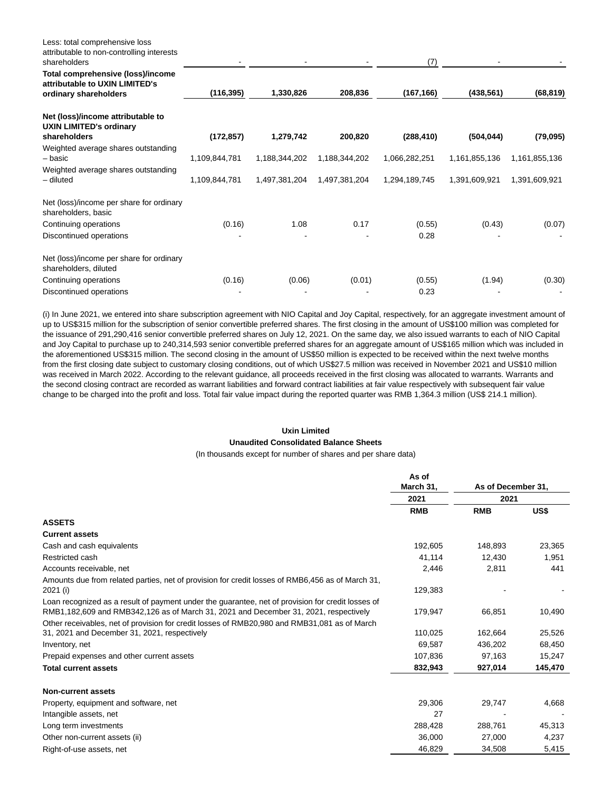|  | Less: total comprehensive loss |  |
|--|--------------------------------|--|
|--|--------------------------------|--|

| shareholders                                                                                 |               |               |               | (7)           |               |               |
|----------------------------------------------------------------------------------------------|---------------|---------------|---------------|---------------|---------------|---------------|
| Total comprehensive (loss)/income<br>attributable to UXIN LIMITED's<br>ordinary shareholders | (116, 395)    | 1,330,826     | 208,836       | (167, 166)    | (438, 561)    | (68, 819)     |
| Net (loss)/income attributable to<br><b>UXIN LIMITED's ordinary</b><br>shareholders          | (172, 857)    | 1,279,742     | 200,820       | (288, 410)    | (504, 044)    | (79,095)      |
| Weighted average shares outstanding                                                          |               |               |               |               |               |               |
| – basic                                                                                      | 1,109,844,781 | 1,188,344,202 | 1,188,344,202 | 1,066,282,251 | 1,161,855,136 | 1,161,855,136 |
| Weighted average shares outstanding<br>- diluted                                             | 1,109,844,781 | 1,497,381,204 | 1,497,381,204 | 1,294,189,745 | 1,391,609,921 | 1,391,609,921 |
| Net (loss)/income per share for ordinary<br>shareholders, basic                              |               |               |               |               |               |               |
| Continuing operations                                                                        | (0.16)        | 1.08          | 0.17          | (0.55)        | (0.43)        | (0.07)        |
| Discontinued operations                                                                      |               |               |               | 0.28          |               |               |
| Net (loss)/income per share for ordinary<br>shareholders, diluted                            |               |               |               |               |               |               |
| Continuing operations                                                                        | (0.16)        | (0.06)        | (0.01)        | (0.55)        | (1.94)        | (0.30)        |
| Discontinued operations                                                                      |               |               |               | 0.23          |               |               |

(i) In June 2021, we entered into share subscription agreement with NIO Capital and Joy Capital, respectively, for an aggregate investment amount of up to US\$315 million for the subscription of senior convertible preferred shares. The first closing in the amount of US\$100 million was completed for the issuance of 291,290,416 senior convertible preferred shares on July 12, 2021. On the same day, we also issued warrants to each of NIO Capital and Joy Capital to purchase up to 240,314,593 senior convertible preferred shares for an aggregate amount of US\$165 million which was included in the aforementioned US\$315 million. The second closing in the amount of US\$50 million is expected to be received within the next twelve months from the first closing date subject to customary closing conditions, out of which US\$27.5 million was received in November 2021 and US\$10 million was received in March 2022. According to the relevant guidance, all proceeds received in the first closing was allocated to warrants. Warrants and the second closing contract are recorded as warrant liabilities and forward contract liabilities at fair value respectively with subsequent fair value change to be charged into the profit and loss. Total fair value impact during the reported quarter was RMB 1,364.3 million (US\$ 214.1 million).

# **Uxin Limited Unaudited Consolidated Balance Sheets**

(In thousands except for number of shares and per share data)

|                                                                                                                                                                                                                                                                                           | As of<br>March 31, | As of December 31, |         |
|-------------------------------------------------------------------------------------------------------------------------------------------------------------------------------------------------------------------------------------------------------------------------------------------|--------------------|--------------------|---------|
|                                                                                                                                                                                                                                                                                           | 2021               | 2021               |         |
|                                                                                                                                                                                                                                                                                           | <b>RMB</b>         | <b>RMB</b>         | US\$    |
| <b>ASSETS</b>                                                                                                                                                                                                                                                                             |                    |                    |         |
| <b>Current assets</b>                                                                                                                                                                                                                                                                     |                    |                    |         |
| Cash and cash equivalents                                                                                                                                                                                                                                                                 | 192,605            | 148,893            | 23,365  |
| Restricted cash                                                                                                                                                                                                                                                                           | 41,114             | 12,430             | 1,951   |
| Accounts receivable, net                                                                                                                                                                                                                                                                  | 2,446              | 2,811              | 441     |
| Amounts due from related parties, net of provision for credit losses of RMB6,456 as of March 31,<br>2021 (i)                                                                                                                                                                              | 129,383            |                    |         |
| Loan recognized as a result of payment under the guarantee, net of provision for credit losses of<br>RMB1,182,609 and RMB342,126 as of March 31, 2021 and December 31, 2021, respectively<br>Other receivables, net of provision for credit losses of RMB20,980 and RMB31,081 as of March | 179,947            | 66,851             | 10,490  |
| 31, 2021 and December 31, 2021, respectively                                                                                                                                                                                                                                              | 110,025            | 162,664            | 25,526  |
| Inventory, net                                                                                                                                                                                                                                                                            | 69,587             | 436,202            | 68,450  |
| Prepaid expenses and other current assets                                                                                                                                                                                                                                                 | 107,836            | 97,163             | 15,247  |
| <b>Total current assets</b>                                                                                                                                                                                                                                                               | 832,943            | 927,014            | 145,470 |
| <b>Non-current assets</b>                                                                                                                                                                                                                                                                 |                    |                    |         |
| Property, equipment and software, net                                                                                                                                                                                                                                                     | 29,306             | 29,747             | 4,668   |
| Intangible assets, net                                                                                                                                                                                                                                                                    | 27                 |                    |         |
| Long term investments                                                                                                                                                                                                                                                                     | 288,428            | 288,761            | 45,313  |
| Other non-current assets (ii)                                                                                                                                                                                                                                                             | 36,000             | 27,000             | 4,237   |
| Right-of-use assets, net                                                                                                                                                                                                                                                                  | 46,829             | 34,508             | 5,415   |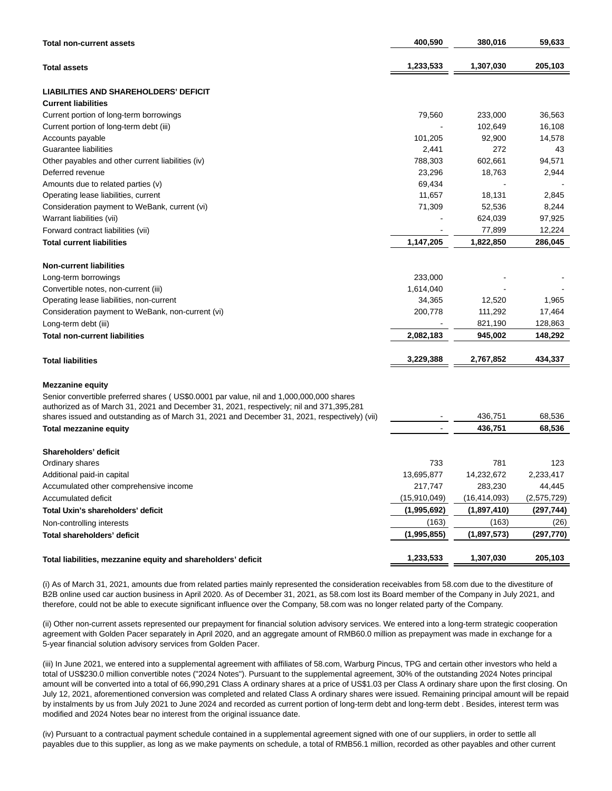| 205,103<br>1,233,533<br>1,307,030<br><b>Total assets</b><br>LIABILITIES AND SHAREHOLDERS' DEFICIT<br><b>Current liabilities</b><br>36,563<br>Current portion of long-term borrowings<br>79,560<br>233,000<br>Current portion of long-term debt (iii)<br>102,649<br>16,108<br>101,205<br>Accounts payable<br>92,900<br>14,578<br>Guarantee liabilities<br>2,441<br>272<br>43<br>Other payables and other current liabilities (iv)<br>788,303<br>602,661<br>94,571<br>18,763<br>Deferred revenue<br>23,296<br>2,944<br>69,434<br>Amounts due to related parties (v)<br>Operating lease liabilities, current<br>11,657<br>18,131<br>2,845<br>Consideration payment to WeBank, current (vi)<br>71,309<br>52,536<br>8,244<br>97,925<br>Warrant liabilities (vii)<br>624,039<br>77,899<br>12,224<br>Forward contract liabilities (vii)<br>1,147,205<br>1,822,850<br>286,045<br><b>Total current liabilities</b><br><b>Non-current liabilities</b><br>233,000<br>Long-term borrowings<br>Convertible notes, non-current (iii)<br>1,614,040<br>Operating lease liabilities, non-current<br>34,365<br>12,520<br>1,965<br>200,778<br>Consideration payment to WeBank, non-current (vi)<br>111,292<br>17,464<br>128,863<br>821,190<br>Long-term debt (iii)<br>2,082,183<br>945,002<br>148,292<br><b>Total non-current liabilities</b><br>3,229,388<br>2,767,852<br>434,337<br><b>Total liabilities</b><br><b>Mezzanine equity</b><br>Senior convertible preferred shares (US\$0.0001 par value, nil and 1,000,000,000 shares<br>authorized as of March 31, 2021 and December 31, 2021, respectively; nil and 371,395,281<br>436,751<br>68,536<br>shares issued and outstanding as of March 31, 2021 and December 31, 2021, respectively) (vii)<br>436,751<br>68,536<br><b>Total mezzanine equity</b><br>ä,<br>Shareholders' deficit<br>Ordinary shares<br>733<br>781<br>123<br>13,695,877<br>14,232,672<br>2,233,417<br>Additional paid-in capital<br>44,445<br>Accumulated other comprehensive income<br>217,747<br>283,230<br>(15,910,049)<br>(16, 414, 093)<br>(2,575,729)<br>Accumulated deficit<br>(1,995,692)<br>(1,897,410)<br>(297, 744)<br>Total Uxin's shareholders' deficit<br>(163)<br>(163)<br>(26)<br>Non-controlling interests<br>(1,995,855)<br>(1,897,573)<br>(297, 770)<br>Total shareholders' deficit<br>1,233,533<br>205,103<br>1,307,030<br>Total liabilities, mezzanine equity and shareholders' deficit | <b>Total non-current assets</b> | 400,590 | 380,016 | 59,633 |
|---------------------------------------------------------------------------------------------------------------------------------------------------------------------------------------------------------------------------------------------------------------------------------------------------------------------------------------------------------------------------------------------------------------------------------------------------------------------------------------------------------------------------------------------------------------------------------------------------------------------------------------------------------------------------------------------------------------------------------------------------------------------------------------------------------------------------------------------------------------------------------------------------------------------------------------------------------------------------------------------------------------------------------------------------------------------------------------------------------------------------------------------------------------------------------------------------------------------------------------------------------------------------------------------------------------------------------------------------------------------------------------------------------------------------------------------------------------------------------------------------------------------------------------------------------------------------------------------------------------------------------------------------------------------------------------------------------------------------------------------------------------------------------------------------------------------------------------------------------------------------------------------------------------------------------------------------------------------------------------------------------------------------------------------------------------------------------------------------------------------------------------------------------------------------------------------------------------------------------------------------------------------------------------------------------------------------------------------------------------------------------------------------------------------|---------------------------------|---------|---------|--------|
|                                                                                                                                                                                                                                                                                                                                                                                                                                                                                                                                                                                                                                                                                                                                                                                                                                                                                                                                                                                                                                                                                                                                                                                                                                                                                                                                                                                                                                                                                                                                                                                                                                                                                                                                                                                                                                                                                                                                                                                                                                                                                                                                                                                                                                                                                                                                                                                                                     |                                 |         |         |        |
|                                                                                                                                                                                                                                                                                                                                                                                                                                                                                                                                                                                                                                                                                                                                                                                                                                                                                                                                                                                                                                                                                                                                                                                                                                                                                                                                                                                                                                                                                                                                                                                                                                                                                                                                                                                                                                                                                                                                                                                                                                                                                                                                                                                                                                                                                                                                                                                                                     |                                 |         |         |        |
|                                                                                                                                                                                                                                                                                                                                                                                                                                                                                                                                                                                                                                                                                                                                                                                                                                                                                                                                                                                                                                                                                                                                                                                                                                                                                                                                                                                                                                                                                                                                                                                                                                                                                                                                                                                                                                                                                                                                                                                                                                                                                                                                                                                                                                                                                                                                                                                                                     |                                 |         |         |        |
|                                                                                                                                                                                                                                                                                                                                                                                                                                                                                                                                                                                                                                                                                                                                                                                                                                                                                                                                                                                                                                                                                                                                                                                                                                                                                                                                                                                                                                                                                                                                                                                                                                                                                                                                                                                                                                                                                                                                                                                                                                                                                                                                                                                                                                                                                                                                                                                                                     |                                 |         |         |        |
|                                                                                                                                                                                                                                                                                                                                                                                                                                                                                                                                                                                                                                                                                                                                                                                                                                                                                                                                                                                                                                                                                                                                                                                                                                                                                                                                                                                                                                                                                                                                                                                                                                                                                                                                                                                                                                                                                                                                                                                                                                                                                                                                                                                                                                                                                                                                                                                                                     |                                 |         |         |        |
|                                                                                                                                                                                                                                                                                                                                                                                                                                                                                                                                                                                                                                                                                                                                                                                                                                                                                                                                                                                                                                                                                                                                                                                                                                                                                                                                                                                                                                                                                                                                                                                                                                                                                                                                                                                                                                                                                                                                                                                                                                                                                                                                                                                                                                                                                                                                                                                                                     |                                 |         |         |        |
|                                                                                                                                                                                                                                                                                                                                                                                                                                                                                                                                                                                                                                                                                                                                                                                                                                                                                                                                                                                                                                                                                                                                                                                                                                                                                                                                                                                                                                                                                                                                                                                                                                                                                                                                                                                                                                                                                                                                                                                                                                                                                                                                                                                                                                                                                                                                                                                                                     |                                 |         |         |        |
|                                                                                                                                                                                                                                                                                                                                                                                                                                                                                                                                                                                                                                                                                                                                                                                                                                                                                                                                                                                                                                                                                                                                                                                                                                                                                                                                                                                                                                                                                                                                                                                                                                                                                                                                                                                                                                                                                                                                                                                                                                                                                                                                                                                                                                                                                                                                                                                                                     |                                 |         |         |        |
|                                                                                                                                                                                                                                                                                                                                                                                                                                                                                                                                                                                                                                                                                                                                                                                                                                                                                                                                                                                                                                                                                                                                                                                                                                                                                                                                                                                                                                                                                                                                                                                                                                                                                                                                                                                                                                                                                                                                                                                                                                                                                                                                                                                                                                                                                                                                                                                                                     |                                 |         |         |        |
|                                                                                                                                                                                                                                                                                                                                                                                                                                                                                                                                                                                                                                                                                                                                                                                                                                                                                                                                                                                                                                                                                                                                                                                                                                                                                                                                                                                                                                                                                                                                                                                                                                                                                                                                                                                                                                                                                                                                                                                                                                                                                                                                                                                                                                                                                                                                                                                                                     |                                 |         |         |        |
|                                                                                                                                                                                                                                                                                                                                                                                                                                                                                                                                                                                                                                                                                                                                                                                                                                                                                                                                                                                                                                                                                                                                                                                                                                                                                                                                                                                                                                                                                                                                                                                                                                                                                                                                                                                                                                                                                                                                                                                                                                                                                                                                                                                                                                                                                                                                                                                                                     |                                 |         |         |        |
|                                                                                                                                                                                                                                                                                                                                                                                                                                                                                                                                                                                                                                                                                                                                                                                                                                                                                                                                                                                                                                                                                                                                                                                                                                                                                                                                                                                                                                                                                                                                                                                                                                                                                                                                                                                                                                                                                                                                                                                                                                                                                                                                                                                                                                                                                                                                                                                                                     |                                 |         |         |        |
|                                                                                                                                                                                                                                                                                                                                                                                                                                                                                                                                                                                                                                                                                                                                                                                                                                                                                                                                                                                                                                                                                                                                                                                                                                                                                                                                                                                                                                                                                                                                                                                                                                                                                                                                                                                                                                                                                                                                                                                                                                                                                                                                                                                                                                                                                                                                                                                                                     |                                 |         |         |        |
|                                                                                                                                                                                                                                                                                                                                                                                                                                                                                                                                                                                                                                                                                                                                                                                                                                                                                                                                                                                                                                                                                                                                                                                                                                                                                                                                                                                                                                                                                                                                                                                                                                                                                                                                                                                                                                                                                                                                                                                                                                                                                                                                                                                                                                                                                                                                                                                                                     |                                 |         |         |        |
|                                                                                                                                                                                                                                                                                                                                                                                                                                                                                                                                                                                                                                                                                                                                                                                                                                                                                                                                                                                                                                                                                                                                                                                                                                                                                                                                                                                                                                                                                                                                                                                                                                                                                                                                                                                                                                                                                                                                                                                                                                                                                                                                                                                                                                                                                                                                                                                                                     |                                 |         |         |        |
|                                                                                                                                                                                                                                                                                                                                                                                                                                                                                                                                                                                                                                                                                                                                                                                                                                                                                                                                                                                                                                                                                                                                                                                                                                                                                                                                                                                                                                                                                                                                                                                                                                                                                                                                                                                                                                                                                                                                                                                                                                                                                                                                                                                                                                                                                                                                                                                                                     |                                 |         |         |        |
|                                                                                                                                                                                                                                                                                                                                                                                                                                                                                                                                                                                                                                                                                                                                                                                                                                                                                                                                                                                                                                                                                                                                                                                                                                                                                                                                                                                                                                                                                                                                                                                                                                                                                                                                                                                                                                                                                                                                                                                                                                                                                                                                                                                                                                                                                                                                                                                                                     |                                 |         |         |        |
|                                                                                                                                                                                                                                                                                                                                                                                                                                                                                                                                                                                                                                                                                                                                                                                                                                                                                                                                                                                                                                                                                                                                                                                                                                                                                                                                                                                                                                                                                                                                                                                                                                                                                                                                                                                                                                                                                                                                                                                                                                                                                                                                                                                                                                                                                                                                                                                                                     |                                 |         |         |        |
|                                                                                                                                                                                                                                                                                                                                                                                                                                                                                                                                                                                                                                                                                                                                                                                                                                                                                                                                                                                                                                                                                                                                                                                                                                                                                                                                                                                                                                                                                                                                                                                                                                                                                                                                                                                                                                                                                                                                                                                                                                                                                                                                                                                                                                                                                                                                                                                                                     |                                 |         |         |        |
|                                                                                                                                                                                                                                                                                                                                                                                                                                                                                                                                                                                                                                                                                                                                                                                                                                                                                                                                                                                                                                                                                                                                                                                                                                                                                                                                                                                                                                                                                                                                                                                                                                                                                                                                                                                                                                                                                                                                                                                                                                                                                                                                                                                                                                                                                                                                                                                                                     |                                 |         |         |        |
|                                                                                                                                                                                                                                                                                                                                                                                                                                                                                                                                                                                                                                                                                                                                                                                                                                                                                                                                                                                                                                                                                                                                                                                                                                                                                                                                                                                                                                                                                                                                                                                                                                                                                                                                                                                                                                                                                                                                                                                                                                                                                                                                                                                                                                                                                                                                                                                                                     |                                 |         |         |        |
|                                                                                                                                                                                                                                                                                                                                                                                                                                                                                                                                                                                                                                                                                                                                                                                                                                                                                                                                                                                                                                                                                                                                                                                                                                                                                                                                                                                                                                                                                                                                                                                                                                                                                                                                                                                                                                                                                                                                                                                                                                                                                                                                                                                                                                                                                                                                                                                                                     |                                 |         |         |        |
|                                                                                                                                                                                                                                                                                                                                                                                                                                                                                                                                                                                                                                                                                                                                                                                                                                                                                                                                                                                                                                                                                                                                                                                                                                                                                                                                                                                                                                                                                                                                                                                                                                                                                                                                                                                                                                                                                                                                                                                                                                                                                                                                                                                                                                                                                                                                                                                                                     |                                 |         |         |        |
|                                                                                                                                                                                                                                                                                                                                                                                                                                                                                                                                                                                                                                                                                                                                                                                                                                                                                                                                                                                                                                                                                                                                                                                                                                                                                                                                                                                                                                                                                                                                                                                                                                                                                                                                                                                                                                                                                                                                                                                                                                                                                                                                                                                                                                                                                                                                                                                                                     |                                 |         |         |        |
|                                                                                                                                                                                                                                                                                                                                                                                                                                                                                                                                                                                                                                                                                                                                                                                                                                                                                                                                                                                                                                                                                                                                                                                                                                                                                                                                                                                                                                                                                                                                                                                                                                                                                                                                                                                                                                                                                                                                                                                                                                                                                                                                                                                                                                                                                                                                                                                                                     |                                 |         |         |        |
|                                                                                                                                                                                                                                                                                                                                                                                                                                                                                                                                                                                                                                                                                                                                                                                                                                                                                                                                                                                                                                                                                                                                                                                                                                                                                                                                                                                                                                                                                                                                                                                                                                                                                                                                                                                                                                                                                                                                                                                                                                                                                                                                                                                                                                                                                                                                                                                                                     |                                 |         |         |        |
|                                                                                                                                                                                                                                                                                                                                                                                                                                                                                                                                                                                                                                                                                                                                                                                                                                                                                                                                                                                                                                                                                                                                                                                                                                                                                                                                                                                                                                                                                                                                                                                                                                                                                                                                                                                                                                                                                                                                                                                                                                                                                                                                                                                                                                                                                                                                                                                                                     |                                 |         |         |        |
|                                                                                                                                                                                                                                                                                                                                                                                                                                                                                                                                                                                                                                                                                                                                                                                                                                                                                                                                                                                                                                                                                                                                                                                                                                                                                                                                                                                                                                                                                                                                                                                                                                                                                                                                                                                                                                                                                                                                                                                                                                                                                                                                                                                                                                                                                                                                                                                                                     |                                 |         |         |        |
|                                                                                                                                                                                                                                                                                                                                                                                                                                                                                                                                                                                                                                                                                                                                                                                                                                                                                                                                                                                                                                                                                                                                                                                                                                                                                                                                                                                                                                                                                                                                                                                                                                                                                                                                                                                                                                                                                                                                                                                                                                                                                                                                                                                                                                                                                                                                                                                                                     |                                 |         |         |        |
|                                                                                                                                                                                                                                                                                                                                                                                                                                                                                                                                                                                                                                                                                                                                                                                                                                                                                                                                                                                                                                                                                                                                                                                                                                                                                                                                                                                                                                                                                                                                                                                                                                                                                                                                                                                                                                                                                                                                                                                                                                                                                                                                                                                                                                                                                                                                                                                                                     |                                 |         |         |        |
|                                                                                                                                                                                                                                                                                                                                                                                                                                                                                                                                                                                                                                                                                                                                                                                                                                                                                                                                                                                                                                                                                                                                                                                                                                                                                                                                                                                                                                                                                                                                                                                                                                                                                                                                                                                                                                                                                                                                                                                                                                                                                                                                                                                                                                                                                                                                                                                                                     |                                 |         |         |        |
|                                                                                                                                                                                                                                                                                                                                                                                                                                                                                                                                                                                                                                                                                                                                                                                                                                                                                                                                                                                                                                                                                                                                                                                                                                                                                                                                                                                                                                                                                                                                                                                                                                                                                                                                                                                                                                                                                                                                                                                                                                                                                                                                                                                                                                                                                                                                                                                                                     |                                 |         |         |        |
|                                                                                                                                                                                                                                                                                                                                                                                                                                                                                                                                                                                                                                                                                                                                                                                                                                                                                                                                                                                                                                                                                                                                                                                                                                                                                                                                                                                                                                                                                                                                                                                                                                                                                                                                                                                                                                                                                                                                                                                                                                                                                                                                                                                                                                                                                                                                                                                                                     |                                 |         |         |        |
|                                                                                                                                                                                                                                                                                                                                                                                                                                                                                                                                                                                                                                                                                                                                                                                                                                                                                                                                                                                                                                                                                                                                                                                                                                                                                                                                                                                                                                                                                                                                                                                                                                                                                                                                                                                                                                                                                                                                                                                                                                                                                                                                                                                                                                                                                                                                                                                                                     |                                 |         |         |        |
|                                                                                                                                                                                                                                                                                                                                                                                                                                                                                                                                                                                                                                                                                                                                                                                                                                                                                                                                                                                                                                                                                                                                                                                                                                                                                                                                                                                                                                                                                                                                                                                                                                                                                                                                                                                                                                                                                                                                                                                                                                                                                                                                                                                                                                                                                                                                                                                                                     |                                 |         |         |        |
|                                                                                                                                                                                                                                                                                                                                                                                                                                                                                                                                                                                                                                                                                                                                                                                                                                                                                                                                                                                                                                                                                                                                                                                                                                                                                                                                                                                                                                                                                                                                                                                                                                                                                                                                                                                                                                                                                                                                                                                                                                                                                                                                                                                                                                                                                                                                                                                                                     |                                 |         |         |        |

(i) As of March 31, 2021, amounts due from related parties mainly represented the consideration receivables from 58.com due to the divestiture of B2B online used car auction business in April 2020. As of December 31, 2021, as 58.com lost its Board member of the Company in July 2021, and therefore, could not be able to execute significant influence over the Company, 58.com was no longer related party of the Company.

(ii) Other non-current assets represented our prepayment for financial solution advisory services. We entered into a long-term strategic cooperation agreement with Golden Pacer separately in April 2020, and an aggregate amount of RMB60.0 million as prepayment was made in exchange for a 5-year financial solution advisory services from Golden Pacer.

(iii) In June 2021, we entered into a supplemental agreement with affiliates of 58.com, Warburg Pincus, TPG and certain other investors who held a total of US\$230.0 million convertible notes ("2024 Notes"). Pursuant to the supplemental agreement, 30% of the outstanding 2024 Notes principal amount will be converted into a total of 66,990,291 Class A ordinary shares at a price of US\$1.03 per Class A ordinary share upon the first closing. On July 12, 2021, aforementioned conversion was completed and related Class A ordinary shares were issued. Remaining principal amount will be repaid by instalments by us from July 2021 to June 2024 and recorded as current portion of long-term debt and long-term debt . Besides, interest term was modified and 2024 Notes bear no interest from the original issuance date.

(iv) Pursuant to a contractual payment schedule contained in a supplemental agreement signed with one of our suppliers, in order to settle all payables due to this supplier, as long as we make payments on schedule, a total of RMB56.1 million, recorded as other payables and other current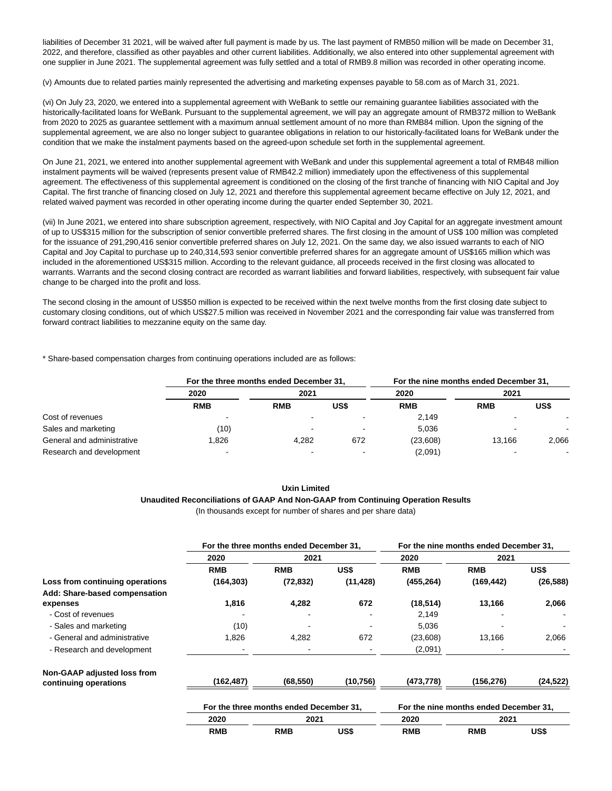liabilities of December 31 2021, will be waived after full payment is made by us. The last payment of RMB50 million will be made on December 31, 2022, and therefore, classified as other payables and other current liabilities. Additionally, we also entered into other supplemental agreement with one supplier in June 2021. The supplemental agreement was fully settled and a total of RMB9.8 million was recorded in other operating income.

(v) Amounts due to related parties mainly represented the advertising and marketing expenses payable to 58.com as of March 31, 2021.

(vi) On July 23, 2020, we entered into a supplemental agreement with WeBank to settle our remaining guarantee liabilities associated with the historically-facilitated loans for WeBank. Pursuant to the supplemental agreement, we will pay an aggregate amount of RMB372 million to WeBank from 2020 to 2025 as guarantee settlement with a maximum annual settlement amount of no more than RMB84 million. Upon the signing of the supplemental agreement, we are also no longer subject to guarantee obligations in relation to our historically-facilitated loans for WeBank under the condition that we make the instalment payments based on the agreed-upon schedule set forth in the supplemental agreement.

On June 21, 2021, we entered into another supplemental agreement with WeBank and under this supplemental agreement a total of RMB48 million instalment payments will be waived (represents present value of RMB42.2 million) immediately upon the effectiveness of this supplemental agreement. The effectiveness of this supplemental agreement is conditioned on the closing of the first tranche of financing with NIO Capital and Joy Capital. The first tranche of financing closed on July 12, 2021 and therefore this supplemental agreement became effective on July 12, 2021, and related waived payment was recorded in other operating income during the quarter ended September 30, 2021.

(vii) In June 2021, we entered into share subscription agreement, respectively, with NIO Capital and Joy Capital for an aggregate investment amount of up to US\$315 million for the subscription of senior convertible preferred shares. The first closing in the amount of US\$ 100 million was completed for the issuance of 291,290,416 senior convertible preferred shares on July 12, 2021. On the same day, we also issued warrants to each of NIO Capital and Joy Capital to purchase up to 240,314,593 senior convertible preferred shares for an aggregate amount of US\$165 million which was included in the aforementioned US\$315 million. According to the relevant guidance, all proceeds received in the first closing was allocated to warrants. Warrants and the second closing contract are recorded as warrant liabilities and forward liabilities, respectively, with subsequent fair value change to be charged into the profit and loss.

The second closing in the amount of US\$50 million is expected to be received within the next twelve months from the first closing date subject to customary closing conditions, out of which US\$27.5 million was received in November 2021 and the corresponding fair value was transferred from forward contract liabilities to mezzanine equity on the same day.

\* Share-based compensation charges from continuing operations included are as follows:

|                            | For the three months ended December 31, |              |      | For the nine months ended December 31, |            |       |
|----------------------------|-----------------------------------------|--------------|------|----------------------------------------|------------|-------|
|                            | 2020<br><b>RMB</b>                      | 2021<br>2020 |      |                                        | 2021       |       |
|                            |                                         | <b>RMB</b>   | US\$ | <b>RMB</b>                             | <b>RMB</b> | US\$  |
| Cost of revenues           |                                         |              |      | 2.149                                  |            |       |
| Sales and marketing        | (10)                                    |              |      | 5.036                                  |            |       |
| General and administrative | 1.826                                   | 4.282        | 672  | (23,608)                               | 13.166     | 2.066 |
| Research and development   |                                         |              |      | (2,091)                                |            |       |

# **Uxin Limited Unaudited Reconciliations of GAAP And Non-GAAP from Continuing Operation Results** (In thousands except for number of shares and per share data)

|                                 | For the three months ended December 31, |                                         |           | For the nine months ended December 31, |                |           |
|---------------------------------|-----------------------------------------|-----------------------------------------|-----------|----------------------------------------|----------------|-----------|
|                                 | 2020                                    | 2021                                    |           | 2020                                   | 2021           |           |
|                                 | <b>RMB</b>                              | <b>RMB</b>                              | US\$      | <b>RMB</b>                             | <b>RMB</b>     | US\$      |
| Loss from continuing operations | (164, 303)                              | (72, 832)                               | (11, 428) | (455, 264)                             | (169, 442)     | (26, 588) |
| Add: Share-based compensation   |                                         |                                         |           |                                        |                |           |
| expenses                        | 1,816                                   | 4,282                                   | 672       | (18, 514)                              | 13,166         | 2,066     |
| - Cost of revenues              |                                         |                                         |           | 2,149                                  |                |           |
| - Sales and marketing           | (10)                                    |                                         |           | 5,036                                  |                |           |
| - General and administrative    | 1,826                                   | 4,282                                   | 672       | (23,608)                               | 13,166         | 2,066     |
| - Research and development      | $\overline{\phantom{a}}$                |                                         | ٠         | (2,091)                                | $\blacksquare$ |           |
| Non-GAAP adjusted loss from     |                                         |                                         |           |                                        |                |           |
| continuing operations           | (162,487)                               | (68, 550)                               | (10, 756) | (473,778)                              | (156, 276)     | (24, 522) |
|                                 |                                         | For the three months ended December 31, |           | For the nine months ended December 31, |                |           |
|                                 | 2020                                    | 2021                                    |           | 2020                                   | 2021           |           |
|                                 | <b>RMB</b>                              | <b>RMB</b>                              | US\$      | <b>RMB</b>                             | <b>RMB</b>     | US\$      |